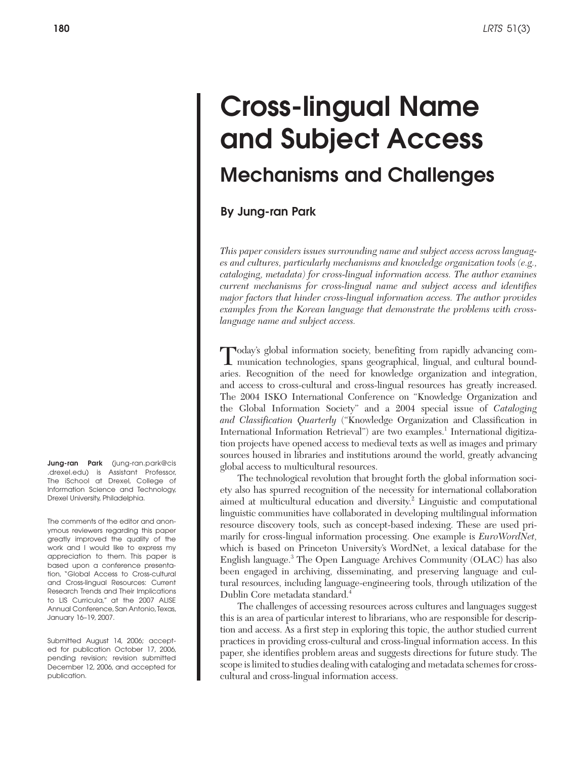# Cross-lingual Name and Subject Access Mechanisms and Challenges

By Jung-ran Park

*This paper considers issues surrounding name and subject access across languages and cultures, particularly mechanisms and knowledge organization tools (e.g., cataloging, metadata) for cross-lingual information access. The author examines current mechanisms for cross-lingual name and subject access and identifies major factors that hinder cross-lingual information access. The author provides examples from the Korean language that demonstrate the problems with crosslanguage name and subject access.*

Today's global information society, benefiting from rapidly advancing com-munication technologies, spans geographical, lingual, and cultural boundaries. Recognition of the need for knowledge organization and integration, and access to cross-cultural and cross-lingual resources has greatly increased. The 2004 ISKO International Conference on "Knowledge Organization and the Global Information Society" and a 2004 special issue of *Cataloging and Classification Quarterly* ("Knowledge Organization and Classification in International Information Retrieval") are two examples.<sup>1</sup> International digitization projects have opened access to medieval texts as well as images and primary sources housed in libraries and institutions around the world, greatly advancing global access to multicultural resources.

The technological revolution that brought forth the global information society also has spurred recognition of the necessity for international collaboration aimed at multicultural education and diversity.<sup>2</sup> Linguistic and computational linguistic communities have collaborated in developing multilingual information resource discovery tools, such as concept-based indexing. These are used primarily for cross-lingual information processing. One example is *EuroWordNet,* which is based on Princeton University's WordNet, a lexical database for the English language.3 The Open Language Archives Community (OLAC) has also been engaged in archiving, disseminating, and preserving language and cultural resources, including language-engineering tools, through utilization of the Dublin Core metadata standard.<sup>4</sup>

The challenges of accessing resources across cultures and languages suggest this is an area of particular interest to librarians, who are responsible for description and access. As a first step in exploring this topic, the author studied current practices in providing cross-cultural and cross-lingual information access. In this paper, she identifies problem areas and suggests directions for future study. The scope is limited to studies dealing with cataloging and metadata schemes for crosscultural and cross-lingual information access.

Jung-ran Park (jung-ran.park@cis .drexel.edu) is Assistant Professor, The iSchool at Drexel, College of Information Science and Technology, Drexel University, Philadelphia.

The comments of the editor and anonymous reviewers regarding this paper greatly improved the quality of the work and I would like to express my appreciation to them. This paper is based upon a conference presentation, "Global Access to Cross-cultural and Cross-lingual Resources: Current Research Trends and Their Implications to LIS Curricula," at the 2007 ALISE Annual Conference, San Antonio, Texas, January 16–19, 2007.

Submitted August 14, 2006; accepted for publication October 17, 2006, pending revision; revision submitted December 12, 2006, and accepted for publication.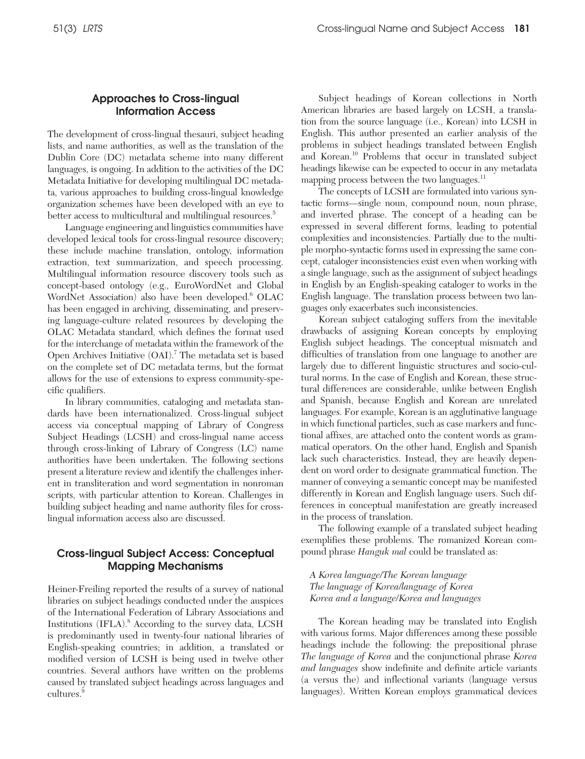# Approaches to Cross-lingual Information Access

The development of cross-lingual thesauri, subject heading lists, and name authorities, as well as the translation of the Dublin Core (DC) metadata scheme into many different languages, is ongoing. In addition to the activities of the DC Metadata Initiative for developing multilingual DC metadata, various approaches to building cross-lingual knowledge organization schemes have been developed with an eye to better access to multicultural and multilingual resources.<sup>5</sup>

Language engineering and linguistics communities have developed lexical tools for cross-lingual resource discovery; these include machine translation, ontology, information extraction, text summarization, and speech processing. Multilingual information resource discovery tools such as concept-based ontology (e.g., EuroWordNet and Global WordNet Association) also have been developed.<sup>6</sup> OLAC has been engaged in archiving, disseminating, and preserving language-culture related resources by developing the OLAC Metadata standard, which defines the format used for the interchange of metadata within the framework of the Open Archives Initiative (OAI).<sup>7</sup> The metadata set is based on the complete set of DC metadata terms, but the format allows for the use of extensions to express community-specific qualifiers.

In library communities, cataloging and metadata standards have been internationalized. Cross-lingual subject access via conceptual mapping of Library of Congress Subject Headings (LCSH) and cross-lingual name access through cross-linking of Library of Congress (LC) name authorities have been undertaken. The following sections present a literature review and identify the challenges inherent in transliteration and word segmentation in nonroman scripts, with particular attention to Korean. Challenges in building subject heading and name authority files for crosslingual information access also are discussed.

# Cross-lingual Subject Access: Conceptual Mapping Mechanisms

Heiner-Freiling reported the results of a survey of national libraries on subject headings conducted under the auspices of the International Federation of Library Associations and Institutions (IFLA).8 According to the survey data, LCSH is predominantly used in twenty-four national libraries of English-speaking countries; in addition, a translated or modified version of LCSH is being used in twelve other countries. Several authors have written on the problems caused by translated subject headings across languages and cultures.<sup>9</sup>

Subject headings of Korean collections in North American libraries are based largely on LCSH, a translation from the source language (i.e., Korean) into LCSH in English. This author presented an earlier analysis of the problems in subject headings translated between English and Korean.<sup>10</sup> Problems that occur in translated subject headings likewise can be expected to occur in any metadata mapping process between the two languages.<sup>11</sup>

The concepts of LCSH are formulated into various syntactic forms—single noun, compound noun, noun phrase, and inverted phrase. The concept of a heading can be expressed in several different forms, leading to potential complexities and inconsistencies. Partially due to the multiple morpho-syntactic forms used in expressing the same concept, cataloger inconsistencies exist even when working with a single language, such as the assignment of subject headings in English by an English-speaking cataloger to works in the English language. The translation process between two languages only exacerbates such inconsistencies.

Korean subject cataloging suffers from the inevitable drawbacks of assigning Korean concepts by employing English subject headings. The conceptual mismatch and difficulties of translation from one language to another are largely due to different linguistic structures and socio-cultural norms. In the case of English and Korean, these structural differences are considerable, unlike between English and Spanish, because English and Korean are unrelated languages. For example, Korean is an agglutinative language in which functional particles, such as case markers and functional affixes, are attached onto the content words as grammatical operators. On the other hand, English and Spanish lack such characteristics. Instead, they are heavily dependent on word order to designate grammatical function. The manner of conveying a semantic concept may be manifested differently in Korean and English language users. Such differences in conceptual manifestation are greatly increased in the process of translation.

The following example of a translated subject heading exemplifies these problems. The romanized Korean compound phrase *Hanguk mal* could be translated as:

*A Korea language/The Korean language The language of Korea/language of Korea Korea and a language/Korea and languages*

The Korean heading may be translated into English with various forms. Major differences among these possible headings include the following: the prepositional phrase *The language of Korea* and the conjunctional phrase *Korea and languages* show indefinite and definite article variants (a versus the) and inflectional variants (language versus languages). Written Korean employs grammatical devices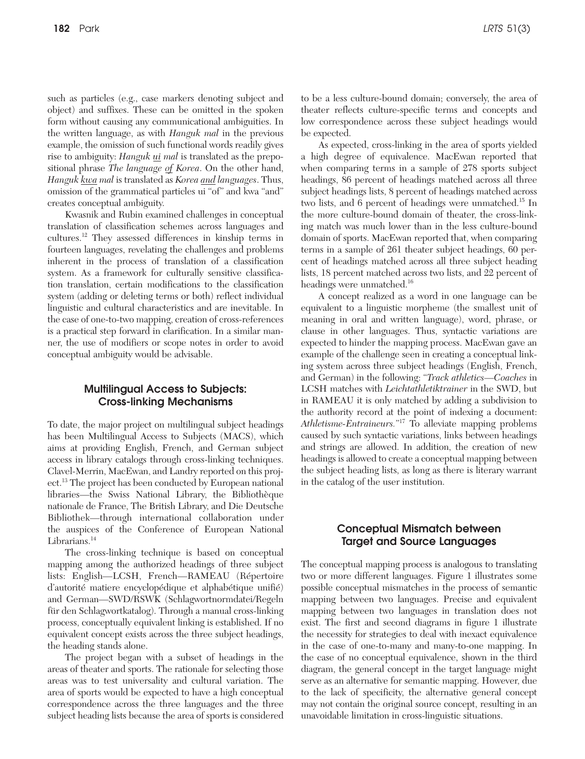such as particles (e.g., case markers denoting subject and object) and suffixes. These can be omitted in the spoken form without causing any communicational ambiguities. In the written language, as with *Hanguk mal* in the previous example, the omission of such functional words readily gives rise to ambiguity: *Hanguk ui mal* is translated as the prepositional phrase *The language of Korea*. On the other hand, *Hanguk kwa mal* is translated as *Korea and languages*. Thus, omission of the grammatical particles ui "of*"* and kwa "and" creates conceptual ambiguity.

Kwasnik and Rubin examined challenges in conceptual translation of classification schemes across languages and cultures.12 They assessed differences in kinship terms in fourteen languages, revelating the challenges and problems inherent in the process of translation of a classification system. As a framework for culturally sensitive classification translation, certain modifications to the classification system (adding or deleting terms or both) reflect individual linguistic and cultural characteristics and are inevitable. In the case of one-to-two mapping, creation of cross-references is a practical step forward in clarification. In a similar manner, the use of modifiers or scope notes in order to avoid conceptual ambiguity would be advisable.

## Multilingual Access to Subjects: Cross-linking Mechanisms

To date, the major project on multilingual subject headings has been Multilingual Access to Subjects (MACS), which aims at providing English, French, and German subject access in library catalogs through cross-linking techniques. Clavel-Merrin, MacEwan, and Landry reported on this project.13 The project has been conducted by European national libraries—the Swiss National Library, the Bibliothèque nationale de France, The British Library, and Die Deutsche Bibliothek—through international collaboration under the auspices of the Conference of European National Librarians.<sup>14</sup>

The cross-linking technique is based on conceptual mapping among the authorized headings of three subject lists: English—LCSH, French—RAMEAU (Répertoire d'autorité matiere encyclopédique et alphabétique unifié) and German—SWD/RSWK (Schlagwortnormdatei/Regeln für den Schlagwortkatalog). Through a manual cross-linking process, conceptually equivalent linking is established. If no equivalent concept exists across the three subject headings, the heading stands alone.

The project began with a subset of headings in the areas of theater and sports. The rationale for selecting those areas was to test universality and cultural variation. The area of sports would be expected to have a high conceptual correspondence across the three languages and the three subject heading lists because the area of sports is considered to be a less culture-bound domain; conversely, the area of theater reflects culture-specific terms and concepts and low correspondence across these subject headings would be expected.

As expected, cross-linking in the area of sports yielded a high degree of equivalence. MacEwan reported that when comparing terms in a sample of 278 sports subject headings, 86 percent of headings matched across all three subject headings lists, 8 percent of headings matched across two lists, and 6 percent of headings were unmatched.<sup>15</sup> In the more culture-bound domain of theater, the cross-linking match was much lower than in the less culture-bound domain of sports. MacEwan reported that, when comparing terms in a sample of 261 theater subject headings, 60 percent of headings matched across all three subject heading lists, 18 percent matched across two lists, and 22 percent of headings were unmatched.<sup>16</sup>

A concept realized as a word in one language can be equivalent to a linguistic morpheme (the smallest unit of meaning in oral and written language), word, phrase, or clause in other languages. Thus, syntactic variations are expected to hinder the mapping process. MacEwan gave an example of the challenge seen in creating a conceptual linking system across three subject headings (English, French, and German) in the following: "*Track athletics*—*Coaches* in LCSH matches with *Leichtathletiktrainer* in the SWD, but in RAMEAU it is only matched by adding a subdivision to the authority record at the point of indexing a document: *Athletisme-Entraineurs.*" 17 To alleviate mapping problems caused by such syntactic variations, links between headings and strings are allowed. In addition, the creation of new headings is allowed to create a conceptual mapping between the subject heading lists, as long as there is literary warrant in the catalog of the user institution.

## Conceptual Mismatch between Target and Source Languages

The conceptual mapping process is analogous to translating two or more different languages. Figure 1 illustrates some possible conceptual mismatches in the process of semantic mapping between two languages. Precise and equivalent mapping between two languages in translation does not exist. The first and second diagrams in figure 1 illustrate the necessity for strategies to deal with inexact equivalence in the case of one-to-many and many-to-one mapping. In the case of no conceptual equivalence, shown in the third diagram, the general concept in the target language might serve as an alternative for semantic mapping. However, due to the lack of specificity, the alternative general concept may not contain the original source concept, resulting in an unavoidable limitation in cross-linguistic situations.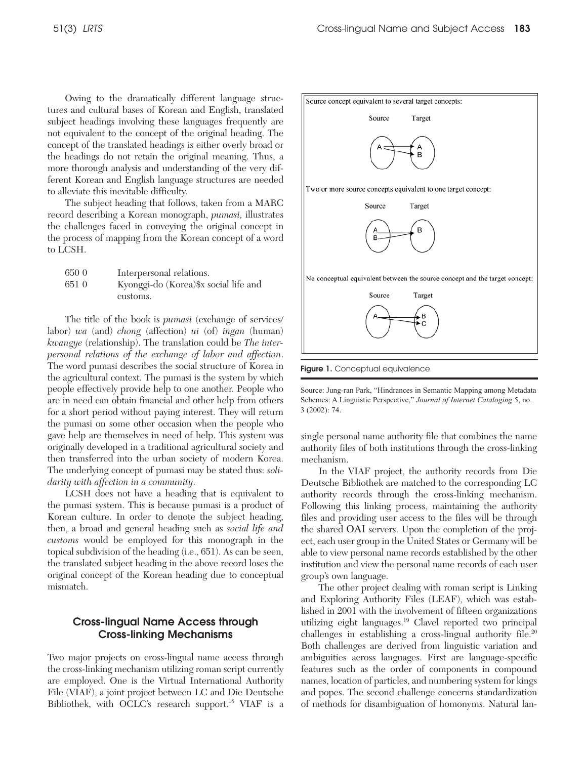Owing to the dramatically different language structures and cultural bases of Korean and English, translated subject headings involving these languages frequently are not equivalent to the concept of the original heading. The concept of the translated headings is either overly broad or the headings do not retain the original meaning. Thus, a more thorough analysis and understanding of the very different Korean and English language structures are needed to alleviate this inevitable difficulty.

The subject heading that follows, taken from a MARC record describing a Korean monograph, *pumasi,* illustrates the challenges faced in conveying the original concept in the process of mapping from the Korean concept of a word to LCSH.

| 650 0 | Interpersonal relations.               |
|-------|----------------------------------------|
| 651 0 | Kyonggi-do (Korea) \$x social life and |
|       | customs.                               |

The title of the book is *pumasi* (exchange of services/ labor) *wa* (and) *chong* (affection) *ui* (of) *ingan* (human) *kwangye* (relationship). The translation could be *The interpersonal relations of the exchange of labor and affection*. The word pumasi describes the social structure of Korea in the agricultural context. The pumasi is the system by which people effectively provide help to one another. People who are in need can obtain financial and other help from others for a short period without paying interest. They will return the pumasi on some other occasion when the people who gave help are themselves in need of help. This system was originally developed in a traditional agricultural society and then transferred into the urban society of modern Korea. The underlying concept of pumasi may be stated thus: *solidarity with affection in a community*.

LCSH does not have a heading that is equivalent to the pumasi system. This is because pumasi is a product of Korean culture. In order to denote the subject heading, then, a broad and general heading such as *social life and customs* would be employed for this monograph in the topical subdivision of the heading (i.e., 651). As can be seen, the translated subject heading in the above record loses the original concept of the Korean heading due to conceptual mismatch.

## Cross-lingual Name Access through Cross-linking Mechanisms

Two major projects on cross-lingual name access through the cross-linking mechanism utilizing roman script currently are employed. One is the Virtual International Authority File (VIAF), a joint project between LC and Die Deutsche Bibliothek, with OCLC's research support.18 VIAF is a



Figure 1. Conceptual equivalence

Source: Jung-ran Park, "Hindrances in Semantic Mapping among Metadata Schemes: A Linguistic Perspective," *Journal of Internet Cataloging* 5, no. 3 (2002): 74.

single personal name authority file that combines the name authority files of both institutions through the cross-linking mechanism.

In the VIAF project, the authority records from Die Deutsche Bibliothek are matched to the corresponding LC authority records through the cross-linking mechanism. Following this linking process, maintaining the authority files and providing user access to the files will be through the shared OAI servers. Upon the completion of the project, each user group in the United States or Germany will be able to view personal name records established by the other institution and view the personal name records of each user group's own language.

The other project dealing with roman script is Linking and Exploring Authority Files (LEAF), which was established in 2001 with the involvement of fifteen organizations utilizing eight languages.19 Clavel reported two principal challenges in establishing a cross-lingual authority file.<sup>20</sup> Both challenges are derived from linguistic variation and ambiguities across languages. First are language-specific features such as the order of components in compound names, location of particles, and numbering system for kings and popes. The second challenge concerns standardization of methods for disambiguation of homonyms. Natural lan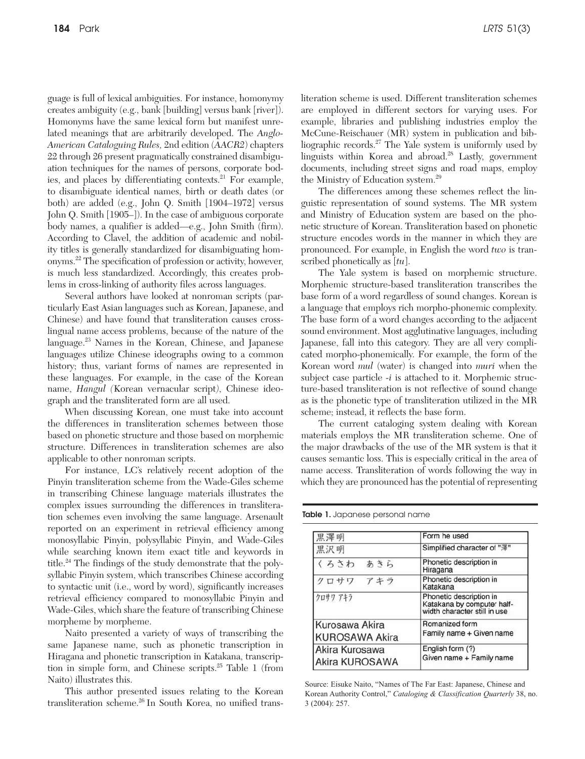guage is full of lexical ambiguities. For instance, homonymy creates ambiguity (e.g., bank [building] versus bank [river]). Homonyms have the same lexical form but manifest unrelated meanings that are arbitrarily developed. The *Anglo-American Cataloguing Rules,* 2nd edition (*AACR2*) chapters 22 through 26 present pragmatically constrained disambiguation techniques for the names of persons, corporate bodies, and places by differentiating contexts.<sup>21</sup> For example, to disambiguate identical names, birth or death dates (or both) are added (e.g., John Q. Smith [1904–1972] versus John Q. Smith [1905–]). In the case of ambiguous corporate body names, a qualifier is added—e.g., John Smith (firm). According to Clavel, the addition of academic and nobility titles is generally standardized for disambiguating homonyms.22 The specification of profession or activity, however, is much less standardized. Accordingly, this creates problems in cross-linking of authority files across languages.

Several authors have looked at nonroman scripts (particularly East Asian languages such as Korean, Japanese, and Chinese) and have found that transliteration causes crosslingual name access problems, because of the nature of the language.23 Names in the Korean, Chinese, and Japanese languages utilize Chinese ideographs owing to a common history; thus, variant forms of names are represented in these languages. For example, in the case of the Korean name, *Hangul (*Korean vernacular script*)*, Chinese ideograph and the transliterated form are all used.

When discussing Korean, one must take into account the differences in transliteration schemes between those based on phonetic structure and those based on morphemic structure. Differences in transliteration schemes are also applicable to other nonroman scripts.

For instance, LC's relatively recent adoption of the Pinyin transliteration scheme from the Wade-Giles scheme in transcribing Chinese language materials illustrates the complex issues surrounding the differences in transliteration schemes even involving the same language. Arsenault reported on an experiment in retrieval efficiency among monosyllabic Pinyin, polysyllabic Pinyin, and Wade-Giles while searching known item exact title and keywords in title.<sup>24</sup> The findings of the study demonstrate that the polysyllabic Pinyin system, which transcribes Chinese according to syntactic unit (i.e., word by word), significantly increases retrieval efficiency compared to monosyllabic Pinyin and Wade-Giles, which share the feature of transcribing Chinese morpheme by morpheme.

Naito presented a variety of ways of transcribing the same Japanese name, such as phonetic transcription in Hiragana and phonetic transcription in Katakana, transcription in simple form, and Chinese scripts.25 Table 1 (from Naito) illustrates this.

This author presented issues relating to the Korean transliteration scheme.<sup>26</sup> In South Korea, no unified transliteration scheme is used. Different transliteration schemes are employed in different sectors for varying uses. For example, libraries and publishing industries employ the McCune-Reischauer (MR) system in publication and bibliographic records.<sup>27</sup> The Yale system is uniformly used by linguists within Korea and abroad.28 Lastly, government documents, including street signs and road maps, employ the Ministry of Education system.<sup>29</sup>

The differences among these schemes reflect the linguistic representation of sound systems. The MR system and Ministry of Education system are based on the phonetic structure of Korean. Transliteration based on phonetic structure encodes words in the manner in which they are pronounced. For example, in English the word *two* is transcribed phonetically as [*tu*].

The Yale system is based on morphemic structure. Morphemic structure-based transliteration transcribes the base form of a word regardless of sound changes. Korean is a language that employs rich morpho-phonemic complexity. The base form of a word changes according to the adjacent sound environment. Most agglutinative languages, including Japanese, fall into this category. They are all very complicated morpho-phonemically. For example, the form of the Korean word *mul* (water) is changed into *muri* when the subject case particle *-i* is attached to it. Morphemic structure-based transliteration is not reflective of sound change as is the phonetic type of transliteration utilized in the MR scheme; instead, it reflects the base form.

The current cataloging system dealing with Korean materials employs the MR transliteration scheme. One of the major drawbacks of the use of the MR system is that it causes semantic loss. This is especially critical in the area of name access. Transliteration of words following the way in which they are pronounced has the potential of representing

Table 1. Japanese personal name

| 黒澤明                                     | Form he used                                                                          |  |
|-----------------------------------------|---------------------------------------------------------------------------------------|--|
| 黒沢明                                     | Simplified character of "澤"                                                           |  |
| くろさわ あきら                                | Phonetic description in<br>Hiragana                                                   |  |
| クロサワ アキラ                                | Phonetic description in<br>Katakana                                                   |  |
| クロサワ アキラ                                | Phonetic description in<br>Katakana by computer half-<br>width character still in use |  |
| Kurosawa Akira<br><b>KUROSAWA Akira</b> | Romanized form<br>Family name + Given name                                            |  |
| Akira Kurosawa<br>Akira KUROSAWA        | English form (?)<br>Given name + Family name                                          |  |

Source: Eisuke Naito, "Names of The Far East: Japanese, Chinese and Korean Authority Control," *Cataloging & Classification Quarterly* 38, no. 3 (2004): 257.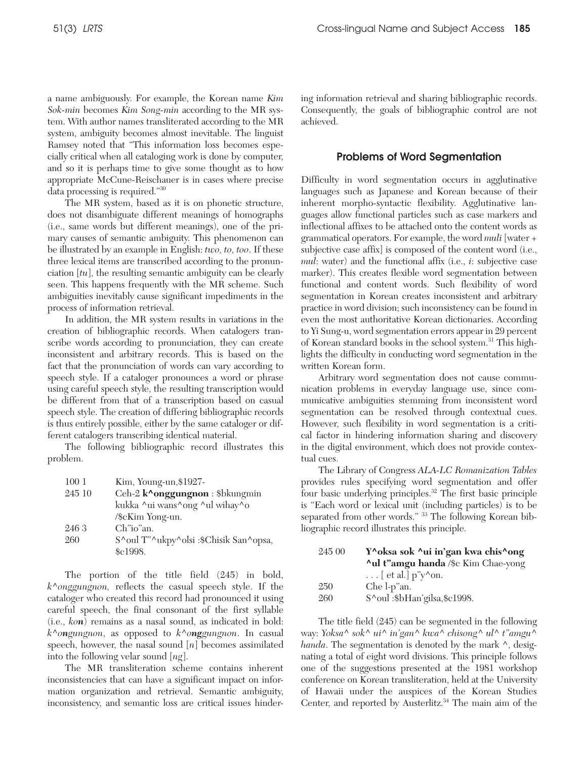a name ambiguously. For example, the Korean name *Kim Sok-min* becomes *Kim Song-min* according to the MR system. With author names transliterated according to the MR system, ambiguity becomes almost inevitable. The linguist Ramsey noted that "This information loss becomes especially critical when all cataloging work is done by computer, and so it is perhaps time to give some thought as to how appropriate McCune-Reischauer is in cases where precise data processing is required."30

The MR system, based as it is on phonetic structure, does not disambiguate different meanings of homographs (i.e., same words but different meanings), one of the primary causes of semantic ambiguity. This phenomenon can be illustrated by an example in English: *two, to, too*. If these three lexical items are transcribed according to the pronunciation [*tu*], the resulting semantic ambiguity can be clearly seen. This happens frequently with the MR scheme. Such ambiguities inevitably cause significant impediments in the process of information retrieval.

In addition, the MR system results in variations in the creation of bibliographic records. When catalogers transcribe words according to pronunciation, they can create inconsistent and arbitrary records. This is based on the fact that the pronunciation of words can vary according to speech style. If a cataloger pronounces a word or phrase using careful speech style, the resulting transcription would be different from that of a transcription based on casual speech style. The creation of differing bibliographic records is thus entirely possible, either by the same cataloger or different catalogers transcribing identical material.

The following bibliographic record illustrates this problem.

| $100\;1$ | Kim, Young-un, \$1927-                 |
|----------|----------------------------------------|
| 245 10   | Ceh-2 k^onggungnon : \$bkungmin        |
|          | kukka ^ui wans^ong ^ul wihay^o         |
|          | /\$cKim Yong-un.                       |
| 246 3    | Ch"io"an.                              |
| 260      | S^oul T"^ukpy^olsi :\$Chisik San^opsa, |
|          | \$c1998.                               |

The portion of the title field (245) in bold, *k^onggungnon,* reflects the casual speech style. If the cataloger who created this record had pronounced it using careful speech, the final consonant of the first syllable (i.e., *kon*) remains as a nasal sound, as indicated in bold: *k^ongungnon*, as opposed to *k^onggungnon*. In casual speech, however, the nasal sound [*n*] becomes assimilated into the following velar sound [*ng*].

The MR transliteration scheme contains inherent inconsistencies that can have a significant impact on information organization and retrieval. Semantic ambiguity, inconsistency, and semantic loss are critical issues hindering information retrieval and sharing bibliographic records. Consequently, the goals of bibliographic control are not achieved.

#### Problems of Word Segmentation

Difficulty in word segmentation occurs in agglutinative languages such as Japanese and Korean because of their inherent morpho-syntactic flexibility. Agglutinative languages allow functional particles such as case markers and inflectional affixes to be attached onto the content words as grammatical operators. For example, the word *muli* [water + subjective case affix] is composed of the content word (i.e., *mul*: water) and the functional affix (i.e., *i*: subjective case marker). This creates flexible word segmentation between functional and content words. Such flexibility of word segmentation in Korean creates inconsistent and arbitrary practice in word division; such inconsistency can be found in even the most authoritative Korean dictionaries. According to Yi Sung-u, word segmentation errors appear in 29 percent of Korean standard books in the school system.31 This highlights the difficulty in conducting word segmentation in the written Korean form.

Arbitrary word segmentation does not cause communication problems in everyday language use, since communicative ambiguities stemming from inconsistent word segmentation can be resolved through contextual cues. However, such flexibility in word segmentation is a critical factor in hindering information sharing and discovery in the digital environment, which does not provide contextual cues.

The Library of Congress *ALA-LC Romanization Tables*  provides rules specifying word segmentation and offer four basic underlying principles.32 The first basic principle is "Each word or lexical unit (including particles) is to be separated from other words." <sup>33</sup> The following Korean bibliographic record illustrates this principle.

| 245 00 | Y^oksa sok ^ui in'gan kwa chis^ong         |
|--------|--------------------------------------------|
|        | <b>^ul t"amgu handa /\$c Kim Chae-yong</b> |
|        | $\ldots$ [ et al.] p"y^on.                 |
| 250    | Che l-p"an.                                |
| 260    | S^oul:\$bHan'gilsa,\$c1998.                |

The title field (245) can be segmented in the following way: *Yoksa^ sok^ ui^ in'gan^ kwa^ chisong^ ul^ t"amgu^ handa*. The segmentation is denoted by the mark ^, designating a total of eight word divisions. This principle follows one of the suggestions presented at the 1981 workshop conference on Korean transliteration, held at the University of Hawaii under the auspices of the Korean Studies Center, and reported by Austerlitz.<sup>34</sup> The main aim of the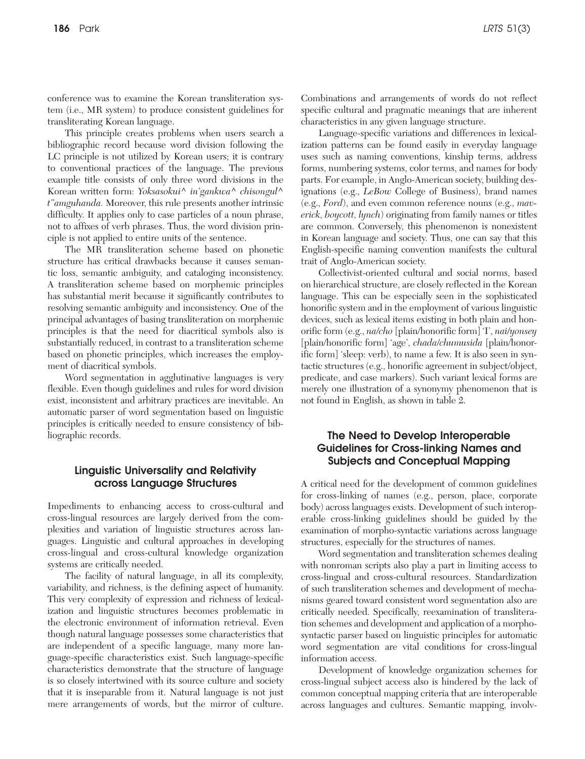conference was to examine the Korean transliteration system (i.e., MR system) to produce consistent guidelines for transliterating Korean language.

This principle creates problems when users search a bibliographic record because word division following the LC principle is not utilized by Korean users; it is contrary to conventional practices of the language. The previous example title consists of only three word divisions in the Korean written form: *Yoksasokui^ in'gankwa^ chisongul^ t"amguhanda.* Moreover, this rule presents another intrinsic difficulty. It applies only to case particles of a noun phrase, not to affixes of verb phrases. Thus, the word division principle is not applied to entire units of the sentence.

The MR transliteration scheme based on phonetic structure has critical drawbacks because it causes semantic loss, semantic ambiguity, and cataloging inconsistency. A transliteration scheme based on morphemic principles has substantial merit because it significantly contributes to resolving semantic ambiguity and inconsistency. One of the principal advantages of basing transliteration on morphemic principles is that the need for diacritical symbols also is substantially reduced, in contrast to a transliteration scheme based on phonetic principles, which increases the employment of diacritical symbols.

Word segmentation in agglutinative languages is very flexible. Even though guidelines and rules for word division exist, inconsistent and arbitrary practices are inevitable. An automatic parser of word segmentation based on linguistic principles is critically needed to ensure consistency of bibliographic records.

## Linguistic Universality and Relativity across Language Structures

Impediments to enhancing access to cross-cultural and cross-lingual resources are largely derived from the complexities and variation of linguistic structures across languages. Linguistic and cultural approaches in developing cross-lingual and cross-cultural knowledge organization systems are critically needed.

The facility of natural language, in all its complexity, variability, and richness, is the defining aspect of humanity. This very complexity of expression and richness of lexicalization and linguistic structures becomes problematic in the electronic environment of information retrieval. Even though natural language possesses some characteristics that are independent of a specific language, many more language-specific characteristics exist. Such language-specific characteristics demonstrate that the structure of language is so closely intertwined with its source culture and society that it is inseparable from it. Natural language is not just mere arrangements of words, but the mirror of culture.

Combinations and arrangements of words do not reflect specific cultural and pragmatic meanings that are inherent characteristics in any given language structure.

Language-specific variations and differences in lexicalization patterns can be found easily in everyday language uses such as naming conventions, kinship terms, address forms, numbering systems, color terms, and names for body parts. For example, in Anglo-American society, building designations (e.g., *LeBow* College of Business), brand names (e.g., *Ford*), and even common reference nouns (e.g., *maverick, boycott, lynch*) originating from family names or titles are common. Conversely, this phenomenon is nonexistent in Korean language and society. Thus, one can say that this English-specific naming convention manifests the cultural trait of Anglo-American society.

Collectivist-oriented cultural and social norms, based on hierarchical structure, are closely reflected in the Korean language. This can be especially seen in the sophisticated honorific system and in the employment of various linguistic devices, such as lexical items existing in both plain and honorific form (e.g., *na/cho* [plain/honorific form] 'I', *nai/yonsey* [plain/honorific form] 'age', *chada/chumusida* [plain/honorific form] 'sleep: verb), to name a few. It is also seen in syntactic structures (e.g., honorific agreement in subject/object, predicate, and case markers). Such variant lexical forms are merely one illustration of a synonymy phenomenon that is not found in English, as shown in table 2.

# The Need to Develop Interoperable Guidelines for Cross-linking Names and Subjects and Conceptual Mapping

A critical need for the development of common guidelines for cross-linking of names (e.g., person, place, corporate body) across languages exists. Development of such interoperable cross-linking guidelines should be guided by the examination of morpho-syntactic variations across language structures, especially for the structures of names.

Word segmentation and transliteration schemes dealing with nonroman scripts also play a part in limiting access to cross-lingual and cross-cultural resources. Standardization of such transliteration schemes and development of mechanisms geared toward consistent word segmentation also are critically needed. Specifically, reexamination of transliteration schemes and development and application of a morphosyntactic parser based on linguistic principles for automatic word segmentation are vital conditions for cross-lingual information access.

Development of knowledge organization schemes for cross-lingual subject access also is hindered by the lack of common conceptual mapping criteria that are interoperable across languages and cultures. Semantic mapping, involv-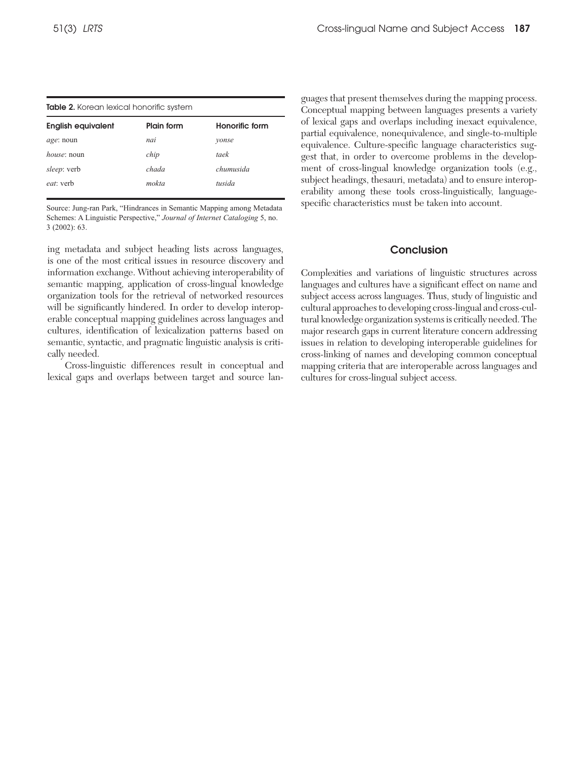| <b>Table 2.</b> Korean lexical honorific system |            |                |  |  |  |
|-------------------------------------------------|------------|----------------|--|--|--|
| <b>English equivalent</b>                       | Plain form | Honorific form |  |  |  |
| <i>age</i> : noun                               | nai        | vonse          |  |  |  |
| <i>house</i> : noun                             | chip       | taek           |  |  |  |
| <i>sleep</i> : verb                             | chada      | chumusida      |  |  |  |
| <i>eat</i> : verb                               | mokta      | tusida         |  |  |  |

Source: Jung-ran Park, "Hindrances in Semantic Mapping among Metadata Schemes: A Linguistic Perspective," *Journal of Internet Cataloging* 5, no. 3 (2002): 63.

ing metadata and subject heading lists across languages, is one of the most critical issues in resource discovery and information exchange. Without achieving interoperability of semantic mapping, application of cross-lingual knowledge organization tools for the retrieval of networked resources will be significantly hindered. In order to develop interoperable conceptual mapping guidelines across languages and cultures, identification of lexicalization patterns based on semantic, syntactic, and pragmatic linguistic analysis is critically needed.

Cross-linguistic differences result in conceptual and lexical gaps and overlaps between target and source languages that present themselves during the mapping process. Conceptual mapping between languages presents a variety of lexical gaps and overlaps including inexact equivalence, partial equivalence, nonequivalence, and single-to-multiple equivalence. Culture-specific language characteristics suggest that, in order to overcome problems in the development of cross-lingual knowledge organization tools (e.g., subject headings, thesauri, metadata) and to ensure interoperability among these tools cross-linguistically, languagespecific characteristics must be taken into account.

#### Conclusion

Complexities and variations of linguistic structures across languages and cultures have a significant effect on name and subject access across languages. Thus, study of linguistic and cultural approaches to developing cross-lingual and cross-cultural knowledge organization systems is critically needed. The major research gaps in current literature concern addressing issues in relation to developing interoperable guidelines for cross-linking of names and developing common conceptual mapping criteria that are interoperable across languages and cultures for cross-lingual subject access.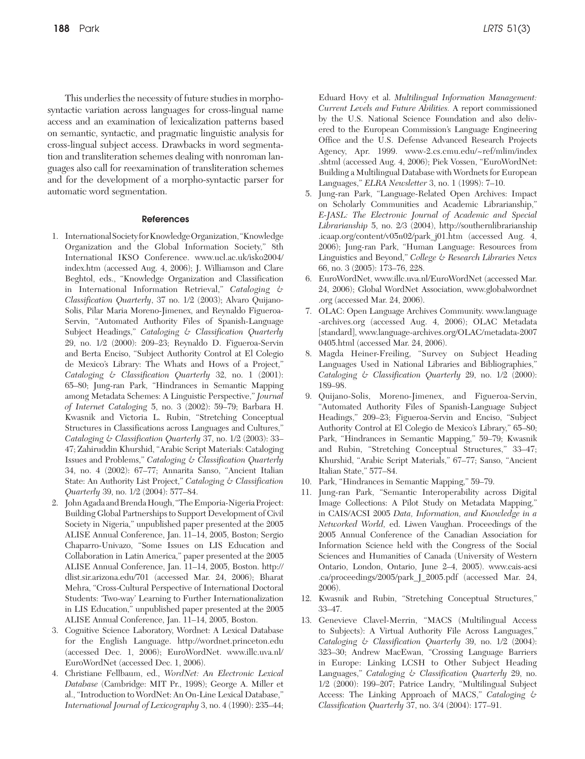This underlies the necessity of future studies in morphosyntactic variation across languages for cross-lingual name access and an examination of lexicalization patterns based on semantic, syntactic, and pragmatic linguistic analysis for cross-lingual subject access. Drawbacks in word segmentation and transliteration schemes dealing with nonroman languages also call for reexamination of transliteration schemes and for the development of a morpho-syntactic parser for automatic word segmentation.

#### References

- 1. International Society for Knowledge Organization, "Knowledge Organization and the Global Information Society," 8th International IKSO Conference. www.ucl.ac.uk/isko2004/ index.htm (accessed Aug. 4, 2006); J. Williamson and Clare Beghtol, eds., "Knowledge Organization and Classification in International Information Retrieval," *Cataloging & Classification Quarterly*, 37 no. 1/2 (2003); Alvaro Quijano-Solis, Pilar Maria Moreno-Jimenex, and Reynaldo Figueroa-Servin, "Automated Authority Files of Spanish-Language Subject Headings," *Cataloging & Classification Quarterly*  29, no. 1/2 (2000): 209–23; Reynaldo D. Figueroa-Servin and Berta Enciso, "Subject Authority Control at El Colegio de Mexico's Library: The Whats and Hows of a Project," *Cataloging & Classification Quarterly* 32, no. 1 (2001): 65–80; Jung-ran Park, "Hindrances in Semantic Mapping among Metadata Schemes: A Linguistic Perspective," *Journal of Internet Cataloging* 5, no. 3 (2002): 59–79; Barbara H. Kwasnik and Victoria L. Rubin, "Stretching Conceptual Structures in Classifications across Languages and Cultures," *Cataloging & Classification Quarterly* 37, no. 1/2 (2003): 33– 47; Zahiruddin Khurshid, "Arabic Script Materials: Cataloging Issues and Problems," *Cataloging & Classification Quarterly* 34, no. 4 (2002): 67–77; Annarita Sanso, "Ancient Italian State: An Authority List Project," *Cataloging & Classification Quarterly* 39, no. 1/2 (2004): 577–84.
- 2. John Agada and Brenda Hough, "The Emporia-Nigeria Project: Building Global Partnerships to Support Development of Civil Society in Nigeria," unpublished paper presented at the 2005 ALISE Annual Conference, Jan. 11–14, 2005, Boston; Sergio Chaparro-Univazo, "Some Issues on LIS Education and Collaboration in Latin America," paper presented at the 2005 ALISE Annual Conference, Jan. 11–14, 2005, Boston. http:// dlist.sir.arizona.edu/701 (accessed Mar. 24, 2006); Bharat Mehra, "Cross-Cultural Perspective of International Doctoral Students: 'Two-way' Learning to Further Internationalization in LIS Education," unpublished paper presented at the 2005 ALISE Annual Conference, Jan. 11–14, 2005, Boston.
- 3. Cognitive Science Laboratory, Wordnet: A Lexical Database for the English Language. http://wordnet.princeton.edu (accessed Dec. 1, 2006); EuroWordNet. www.illc.uva.nl/ EuroWordNet (accessed Dec. 1, 2006).
- 4. Christiane Fellbaum, ed., *WordNet: An Electronic Lexical Database* (Cambridge: MIT Pr., 1998); George A. Miller et al., "Introduction to WordNet: An On-Line Lexical Database," *International Journal of Lexicography* 3, no. 4 (1990): 235–44;

Eduard Hovy et al. *Multilingual Information Management: Current Levels and Future Abilities.* A report commissioned by the U.S. National Science Foundation and also delivered to the European Commission's Language Engineering Office and the U.S. Defense Advanced Research Projects Agency, Apr. 1999. www-2.cs.cmu.edu/~ref/mlim/index .shtml (accessed Aug. 4, 2006); Piek Vossen, "EuroWordNet: Building a Multilingual Database with Wordnets for European Languages," *ELRA Newsletter* 3, no. 1 (1998): 7–10.

- 5. Jung-ran Park, "Language-Related Open Archives: Impact on Scholarly Communities and Academic Librarianship," *E-JASL: The Electronic Journal of Academic and Special Librarianship* 5, no. 2/3 (2004), http://southernlibrarianship .icaap.org/content/v05n02/park\_j01.htm (accessed Aug. 4, 2006); Jung-ran Park, "Human Language: Resources from Linguistics and Beyond," *College & Research Libraries News* 66, no. 3 (2005): 173–76, 228.
- 6. EuroWordNet, www.illc.uva.nl/EuroWordNet (accessed Mar. 24, 2006); Global WordNet Association, www.globalwordnet .org (accessed Mar. 24, 2006).
- 7. OLAC: Open Language Archives Community. www.language -archives.org (accessed Aug. 4, 2006); OLAC Metadata [standard], www.language-archives.org/OLAC/metadata-2007 0405.html (accessed Mar. 24, 2006).
- 8. Magda Heiner-Freiling, "Survey on Subject Heading Languages Used in National Libraries and Bibliographies," *Cataloging & Classification Quarterly* 29, no. 1/2 (2000): 189–98.
- 9. Quijano-Solis, Moreno-Jimenex, and Figueroa-Servin, "Automated Authority Files of Spanish-Language Subject Headings," 209–23; Figueroa-Servin and Enciso, "Subject Authority Control at El Colegio de Mexico's Library," 65–80; Park, "Hindrances in Semantic Mapping," 59–79; Kwasnik and Rubin, "Stretching Conceptual Structures," 33–47; Khurshid, "Arabic Script Materials," 67–77; Sanso, "Ancient Italian State," 577–84.
- 10. Park, "Hindrances in Semantic Mapping," 59–79.
- 11. Jung-ran Park, "Semantic Interoperability across Digital Image Collections: A Pilot Study on Metadata Mapping," in CAIS/ACSI 2005 *Data, Information, and Knowledge in a Networked World,* ed. Liwen Vaughan. Proceedings of the 2005 Annual Conference of the Canadian Association for Information Science held with the Congress of the Social Sciences and Humanities of Canada (University of Western Ontario, London, Ontario, June 2–4, 2005). www.cais-acsi .ca/proceedings/2005/park\_J\_2005.pdf (accessed Mar. 24, 2006).
- 12. Kwasnik and Rubin, "Stretching Conceptual Structures," 33–47.
- 13. Genevieve Clavel-Merrin, "MACS (Multilingual Access to Subjects): A Virtual Authority File Across Languages," *Cataloging & Classification Quarterly* 39, no. 1/2 (2004): 323–30; Andrew MacEwan, "Crossing Language Barriers in Europe: Linking LCSH to Other Subject Heading Languages," *Cataloging & Classification Quarterly* 29, no. 1/2 (2000): 199–207; Patrice Landry, "Multilingual Subject Access: The Linking Approach of MACS," *Cataloging & Classification Quarterly* 37, no. 3/4 (2004): 177–91.